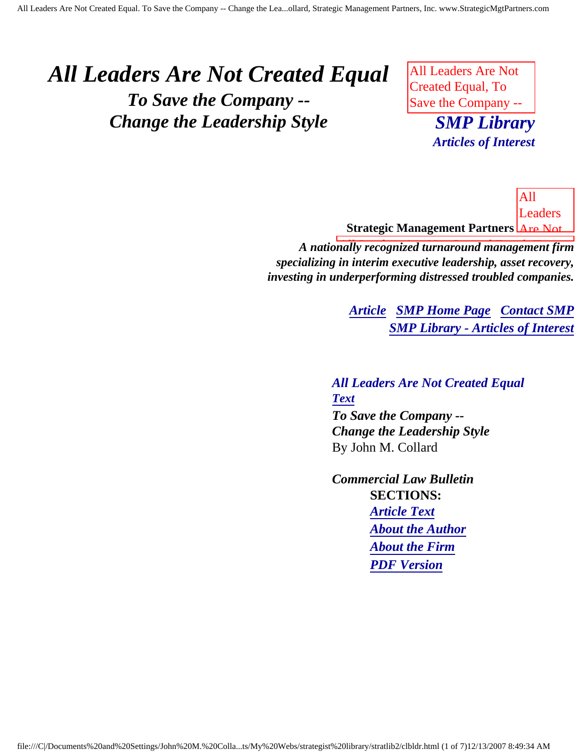# <span id="page-0-3"></span><span id="page-0-2"></span>*All Leaders Are Not Created Equal To Save the Company -- Change the Leadership Style*

All Leaders Are Not Created Equal, To Save the Company --

**SMP Library**  $\text{L}$  and  $\text{L}$  and  $\text{L}$  and  $\text{L}$  and  $\text{L}$  and  $\text{L}$  $\sum$ *Articles of Interest*

<u>Strategic Management Partners <mark>LAre Not</mark></u> All Leaders

<span id="page-0-0"></span>Created All Leaders Are Not Created Equal, To *A nationally recognized turnaround management firm* specializing in interim executive leadership, asset recovery, investing in underperforming distressed troubled companies.

> **[Article](#page-0-0) [SMP Home Page](http://members.aol.com/strategist/home.html#TOP) [Contact SMP](#page-5-0) [SMP Library - Articles of Interest](http://members.aol.com/stratlib3/libindx.html#TOP)**

Change

Leadership  $\mathbf{u}$  by the by-*All Leaders Are Not Created Equal [Text](#page-1-0) To Save the Company -- Change the Leadership Style* By John M. Collard

<span id="page-0-1"></span>*Commercial Law Bulletin* **SECTIONS:** *[Article Text](#page-1-0) [About the Author](#page-5-1) [About the Firm](#page-5-2) [PDF Version](http://members.aol.com/jlcollard/clb-ldrs.pdf)*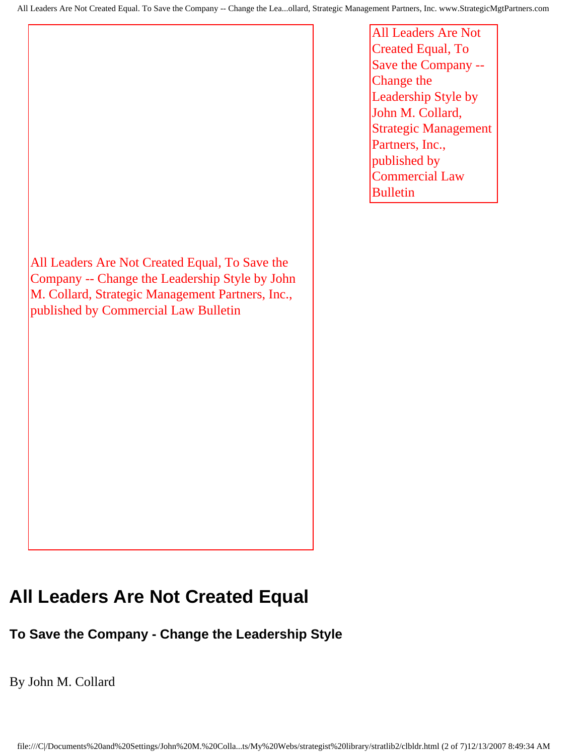All Leaders Are Not Created Equal, To Save the Company -- Change the Leadership Style by John M. Collard, Strategic Management Partners, Inc., published by Commercial Law Bulletin

All Leaders Are Not Created Equal, To Save the Company -- Change the Leadership Style by John M. Collard, Strategic Management Partners, Inc., published by Commercial Law Bulletin

### <span id="page-1-0"></span>**All Leaders Are Not Created Equal**

#### **To Save the Company - Change the Leadership Style**

By John M. Collard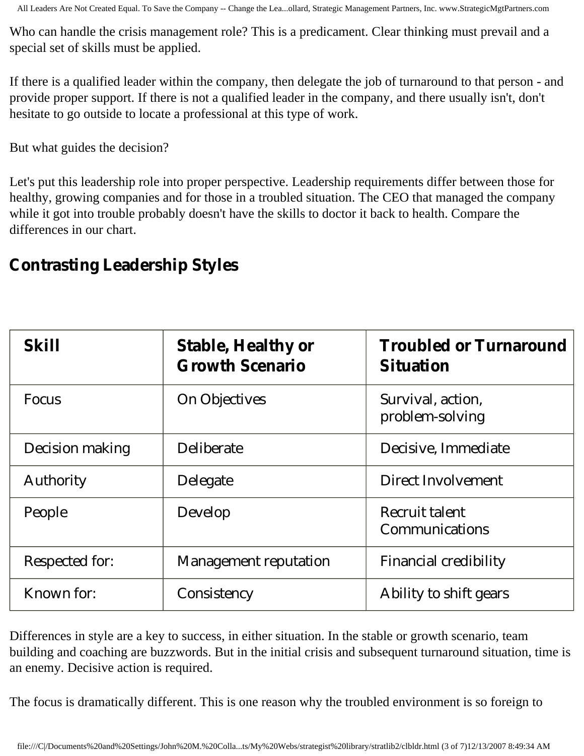All Leaders Are Not Created Equal. To Save the Company -- Change the Lea...ollard, Strategic Management Partners, Inc. www.StrategicMgtPartners.com

Who can handle the crisis management role? This is a predicament. Clear thinking must prevail and a special set of skills must be applied.

If there is a qualified leader within the company, then delegate the job of turnaround to that person - and provide proper support. If there is not a qualified leader in the company, and there usually isn't, don't hesitate to go outside to locate a professional at this type of work.

But what guides the decision?

Let's put this leadership role into proper perspective. Leadership requirements differ between those for healthy, growing companies and for those in a troubled situation. The CEO that managed the company while it got into trouble probably doesn't have the skills to doctor it back to health. Compare the differences in our chart.

#### **Contrasting Leadership Styles**

| <b>Skill</b>     | <b>Stable, Healthy or</b><br><b>Growth Scenario</b> | <b>Troubled or Turnaround</b><br><b>Situation</b> |
|------------------|-----------------------------------------------------|---------------------------------------------------|
| <b>Focus</b>     | <b>On Objectives</b>                                | Survival, action,<br>problem-solving              |
| Decision making  | <b>Deliberate</b>                                   | Decisive, Immediate                               |
| <b>Authority</b> | Delegate                                            | <b>Direct Involvement</b>                         |
| People           | Develop                                             | <b>Recruit talent</b><br>Communications           |
| Respected for:   | <b>Management reputation</b>                        | <b>Financial credibility</b>                      |
| Known for:       | Consistency                                         | Ability to shift gears                            |

Differences in style are a key to success, in either situation. In the stable or growth scenario, team building and coaching are buzzwords. But in the initial crisis and subsequent turnaround situation, time is an enemy. Decisive action is required.

The focus is dramatically different. This is one reason why the troubled environment is so foreign to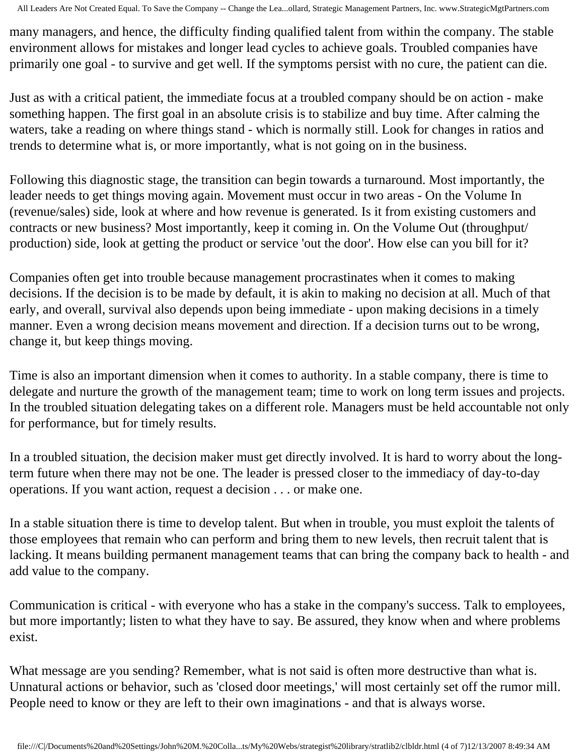All Leaders Are Not Created Equal. To Save the Company -- Change the Lea...ollard, Strategic Management Partners, Inc. www.StrategicMgtPartners.com

many managers, and hence, the difficulty finding qualified talent from within the company. The stable environment allows for mistakes and longer lead cycles to achieve goals. Troubled companies have primarily one goal - to survive and get well. If the symptoms persist with no cure, the patient can die.

Just as with a critical patient, the immediate focus at a troubled company should be on action - make something happen. The first goal in an absolute crisis is to stabilize and buy time. After calming the waters, take a reading on where things stand - which is normally still. Look for changes in ratios and trends to determine what is, or more importantly, what is not going on in the business.

Following this diagnostic stage, the transition can begin towards a turnaround. Most importantly, the leader needs to get things moving again. Movement must occur in two areas - On the Volume In (revenue/sales) side, look at where and how revenue is generated. Is it from existing customers and contracts or new business? Most importantly, keep it coming in. On the Volume Out (throughput/ production) side, look at getting the product or service 'out the door'. How else can you bill for it?

Companies often get into trouble because management procrastinates when it comes to making decisions. If the decision is to be made by default, it is akin to making no decision at all. Much of that early, and overall, survival also depends upon being immediate - upon making decisions in a timely manner. Even a wrong decision means movement and direction. If a decision turns out to be wrong, change it, but keep things moving.

Time is also an important dimension when it comes to authority. In a stable company, there is time to delegate and nurture the growth of the management team; time to work on long term issues and projects. In the troubled situation delegating takes on a different role. Managers must be held accountable not only for performance, but for timely results.

In a troubled situation, the decision maker must get directly involved. It is hard to worry about the longterm future when there may not be one. The leader is pressed closer to the immediacy of day-to-day operations. If you want action, request a decision . . . or make one.

In a stable situation there is time to develop talent. But when in trouble, you must exploit the talents of those employees that remain who can perform and bring them to new levels, then recruit talent that is lacking. It means building permanent management teams that can bring the company back to health - and add value to the company.

Communication is critical - with everyone who has a stake in the company's success. Talk to employees, but more importantly; listen to what they have to say. Be assured, they know when and where problems exist.

What message are you sending? Remember, what is not said is often more destructive than what is. Unnatural actions or behavior, such as 'closed door meetings,' will most certainly set off the rumor mill. People need to know or they are left to their own imaginations - and that is always worse.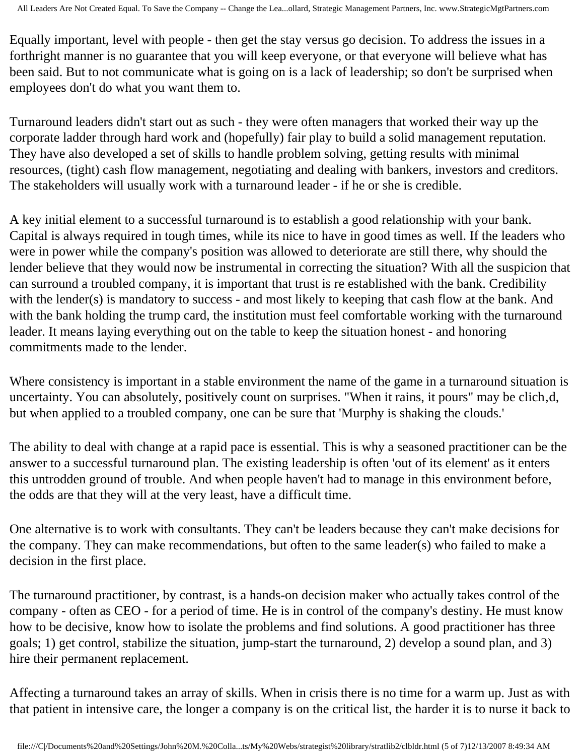Equally important, level with people - then get the stay versus go decision. To address the issues in a forthright manner is no guarantee that you will keep everyone, or that everyone will believe what has been said. But to not communicate what is going on is a lack of leadership; so don't be surprised when employees don't do what you want them to.

Turnaround leaders didn't start out as such - they were often managers that worked their way up the corporate ladder through hard work and (hopefully) fair play to build a solid management reputation. They have also developed a set of skills to handle problem solving, getting results with minimal resources, (tight) cash flow management, negotiating and dealing with bankers, investors and creditors. The stakeholders will usually work with a turnaround leader - if he or she is credible.

A key initial element to a successful turnaround is to establish a good relationship with your bank. Capital is always required in tough times, while its nice to have in good times as well. If the leaders who were in power while the company's position was allowed to deteriorate are still there, why should the lender believe that they would now be instrumental in correcting the situation? With all the suspicion that can surround a troubled company, it is important that trust is re established with the bank. Credibility with the lender(s) is mandatory to success - and most likely to keeping that cash flow at the bank. And with the bank holding the trump card, the institution must feel comfortable working with the turnaround leader. It means laying everything out on the table to keep the situation honest - and honoring commitments made to the lender.

Where consistency is important in a stable environment the name of the game in a turnaround situation is uncertainty. You can absolutely, positively count on surprises. "When it rains, it pours" may be clich, d, but when applied to a troubled company, one can be sure that 'Murphy is shaking the clouds.'

The ability to deal with change at a rapid pace is essential. This is why a seasoned practitioner can be the answer to a successful turnaround plan. The existing leadership is often 'out of its element' as it enters this untrodden ground of trouble. And when people haven't had to manage in this environment before, the odds are that they will at the very least, have a difficult time.

One alternative is to work with consultants. They can't be leaders because they can't make decisions for the company. They can make recommendations, but often to the same leader(s) who failed to make a decision in the first place.

The turnaround practitioner, by contrast, is a hands-on decision maker who actually takes control of the company - often as CEO - for a period of time. He is in control of the company's destiny. He must know how to be decisive, know how to isolate the problems and find solutions. A good practitioner has three goals; 1) get control, stabilize the situation, jump-start the turnaround, 2) develop a sound plan, and 3) hire their permanent replacement.

Affecting a turnaround takes an array of skills. When in crisis there is no time for a warm up. Just as with that patient in intensive care, the longer a company is on the critical list, the harder it is to nurse it back to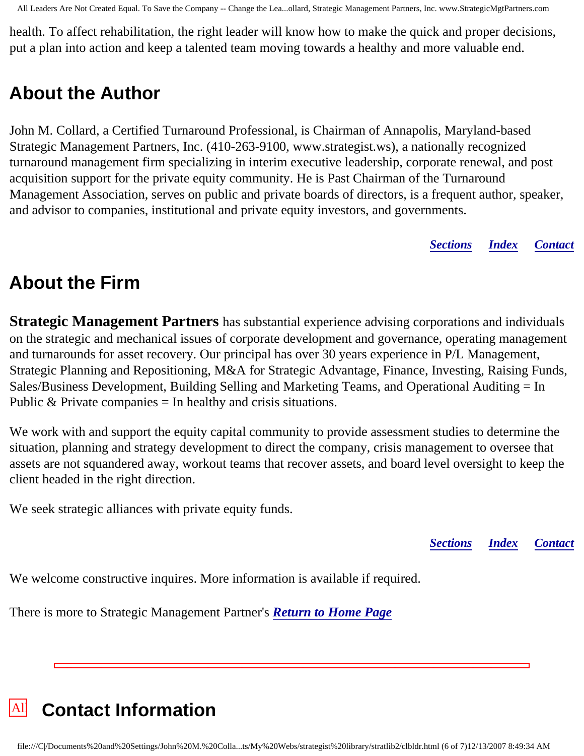All Leaders Are Not Created Equal. To Save the Company -- Change the Lea...ollard, Strategic Management Partners, Inc. www.StrategicMgtPartners.com

health. To affect rehabilitation, the right leader will know how to make the quick and proper decisions, put a plan into action and keep a talented team moving towards a healthy and more valuable end.

## <span id="page-5-1"></span>**About the Author**

John M. Collard, a Certified Turnaround Professional, is Chairman of Annapolis, Maryland-based Strategic Management Partners, Inc. (410-263-9100, www.strategist.ws), a nationally recognized turnaround management firm specializing in interim executive leadership, corporate renewal, and post acquisition support for the private equity community. He is Past Chairman of the Turnaround Management Association, serves on public and private boards of directors, is a frequent author, speaker, and advisor to companies, institutional and private equity investors, and governments.

*[Sections](#page-0-1) [Index](#page-0-2) [Contact](#page-5-0)*

# <span id="page-5-2"></span>**About the Firm**

**Strategic Management Partners** has substantial experience advising corporations and individuals on the strategic and mechanical issues of corporate development and governance, operating management and turnarounds for asset recovery. Our principal has over 30 years experience in P/L Management, Strategic Planning and Repositioning, M&A for Strategic Advantage, Finance, Investing, Raising Funds, Sales/Business Development, Building Selling and Marketing Teams, and Operational Auditing = In Public  $&$  Private companies = In healthy and crisis situations.

We work with and support the equity capital community to provide assessment studies to determine the situation, planning and strategy development to direct the company, crisis management to oversee that assets are not squandered away, workout teams that recover assets, and board level oversight to keep the client headed in the right direction.

We seek strategic alliances with private equity funds.

*[Sections](#page-0-1) [Index](#page-0-2) [Contact](#page-5-0)*

We welcome constructive inquires. More information is available if required.

There is more to Strategic Management Partner's *[Return to Home Page](http://members.aol.com/strategist/home.html#TOP)*

<span id="page-5-0"></span>

 $\mathcal{L}_{\mathcal{A}}$  are Not Created Equal, To Save the Company -- Change the Company -- Change the Leadership the Leadership the Leadership the Company --